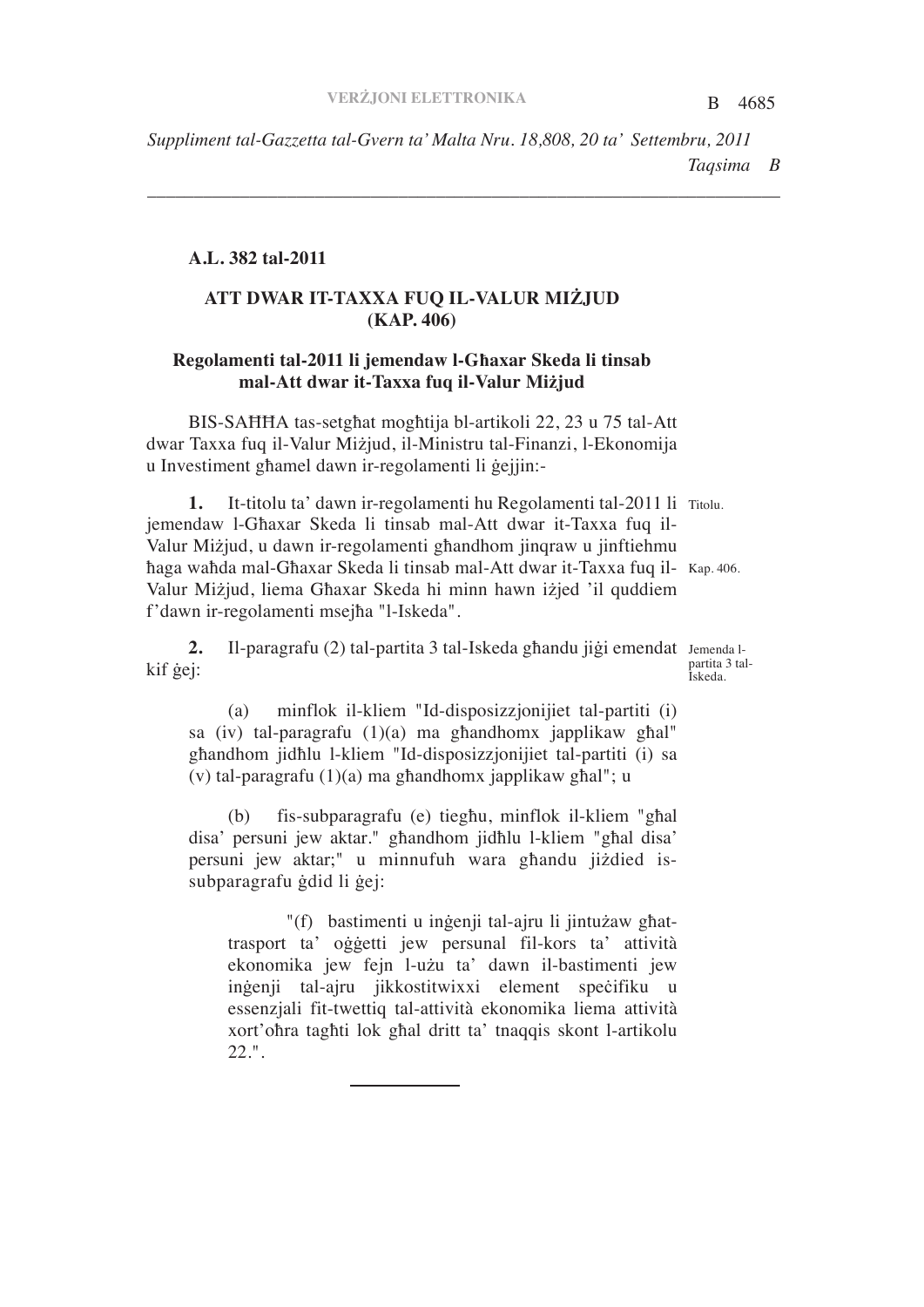B 4685 *Taqsima B Suppliment tal-Gazzetta tal-Gvern ta' Malta Nru. 18,808, 20 ta' Settembru, 2011*

*\_\_\_\_\_\_\_\_\_\_\_\_\_\_\_\_\_\_\_\_\_\_\_\_\_\_\_\_\_\_\_\_\_\_\_\_\_\_\_\_\_\_\_\_\_\_\_\_\_\_\_\_\_\_\_\_\_\_\_\_\_\_\_\_\_\_\_\_*

#### **A.L. 382 tal-2011**

## **ATT DWAR IT-TAXXA FUQ IL-VALUR MIJUD (KAP. 406)**

## **Regolamenti tal-2011 li jemendaw l-Gaxar Skeda li tinsab mal-Att dwar it-Taxxa fuq il-Valur Mijud**

BIS-SAHHA tas-setghat moghtija bl-artikoli 22, 23 u 75 tal-Att dwar Taxxa fuq il-Valur Miżjud, il-Ministru tal-Finanzi, l-Ekonomija u Investiment ghamel dawn ir-regolamenti li gejjin:-

1. It-titolu ta' dawn ir-regolamenti hu Regolamenti tal-2011 li Titolu. haga wahda mal-Ghaxar Skeda li tinsab mal-Att dwar it-Taxxa fuq il- Kap. 406. jemendaw l-Ghaxar Skeda li tinsab mal-Att dwar it-Taxxa fuq il-Valur Mizjud, u dawn ir-regolamenti ghandhom jinqraw u jinftiehmu Valur Miżjud, liema Għaxar Skeda hi minn hawn iżjed 'il quddiem f'dawn ir-regolamenti msejha "l-Iskeda".

2. Il-paragrafu (2) tal-partita 3 tal-Iskeda ghandu jigi emendat Jemenda lpartita 3 tal-Iskeda. kif gej:

(a) minflok il-kliem "Id-disposizzjonijiet tal-partiti (i) sa (iv) tal-paragrafu  $(1)(a)$  ma ghandhomx japplikaw ghal" ghandhom jidhlu l-kliem "Id-disposizzjonijiet tal-partiti (i) sa (v) tal-paragrafu  $(1)(a)$  ma ghandhomx japplikaw ghal"; u

 $(b)$  fis-subparagrafu (e) tieghu, minflok il-kliem "ghal disa' persuni jew aktar." ghandhom jidhlu l-kliem "ghal disa' persuni jew aktar;" u minnufuh wara ghandu jiżdied issubparagrafu gdid li gej:

"(f) bastimenti u ingenji tal-ajru li jintuzaw ghattrasport ta' oggetti jew persunal fil-kors ta' attività ekonomika jew fejn l-użu ta' dawn il-bastimenti jew ingenji tal-ajru jikkostitwixxi element specifiku u essenzjali fit-twettiq tal-attività ekonomika liema attività xort'ohra taghti lok ghal dritt ta' tnaqqis skont l-artikolu 22.".